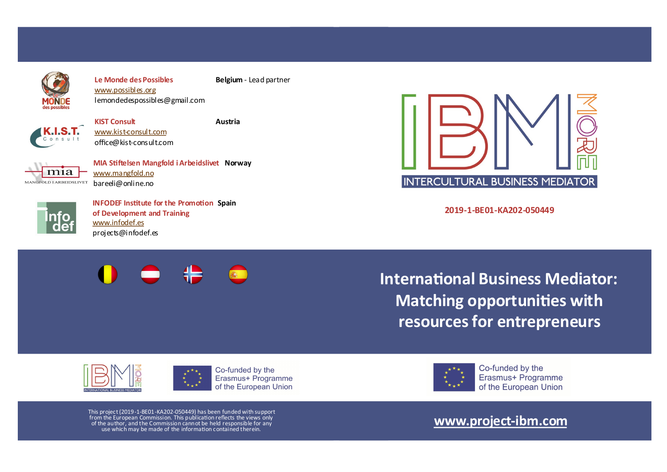

**Le Monde des Possibles Belgium** - Lead partner [www.possibles.org](http://www.possibles.org) [lemondedespossibles@gmail.com](mailto:lemondedespossibles@gmail.com)



**KIST Consult Austria** www.kist-[consult.com](http://www.kist-consult.com) office@kist-consult.com



**MIA Stiftelsen Mangfold i Arbeidslivet Norway** [www.mangfold.no](http://www.mangfold.no) bareeli@online.no



**INFODEF Institute for the Promotion Spain of Development and Training** [www.infodef.es](http://www.infodef.es) projects@infodef.es



**2019-1-BE01-KA202-050449**

**International Business Mediator: Matching opportunities with resources for entrepreneurs**







Co-funded by the Erasmus+ Programme of the European Union

This project (2019-1-BE01-KA202-050449) has been funded with support from the European Commission. This publication reflects the views only of the author, and the Commission cannot be held responsible for any use which may be made of the information contained therein.

# **[www.project](http://www.project-ibm.com/)-ibm.com**